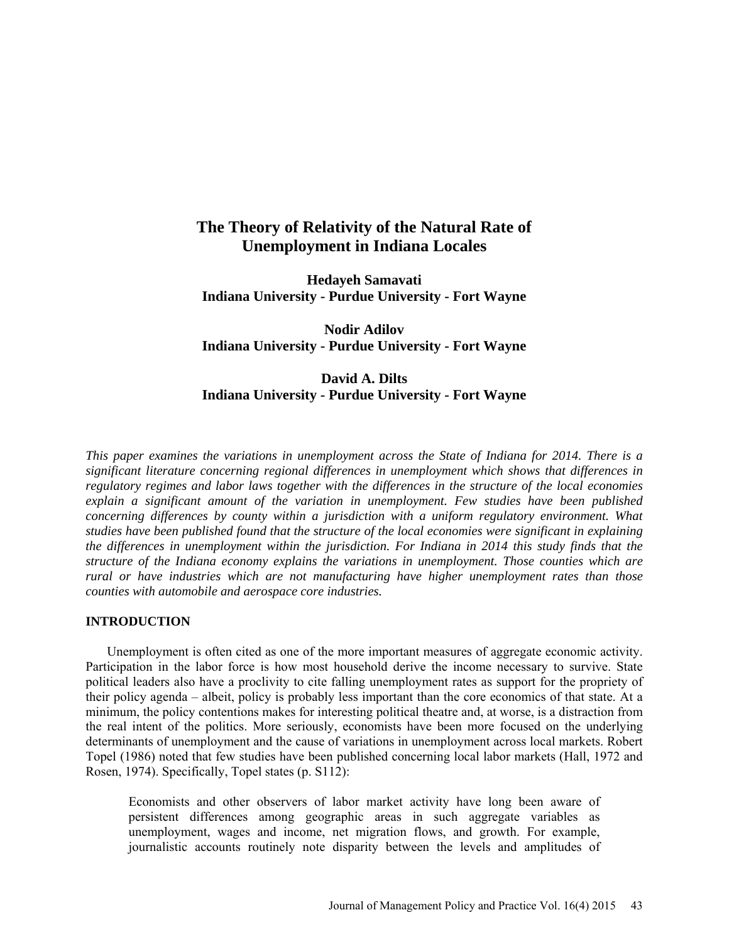# **The Theory of Relativity of the Natural Rate of Unemployment in Indiana Locales**

**Hedayeh Samavati Indiana University - Purdue University - Fort Wayne** 

**Nodir Adilov Indiana University - Purdue University - Fort Wayne** 

## **David A. Dilts Indiana University - Purdue University - Fort Wayne**

*This paper examines the variations in unemployment across the State of Indiana for 2014. There is a significant literature concerning regional differences in unemployment which shows that differences in regulatory regimes and labor laws together with the differences in the structure of the local economies explain a significant amount of the variation in unemployment. Few studies have been published concerning differences by county within a jurisdiction with a uniform regulatory environment. What studies have been published found that the structure of the local economies were significant in explaining the differences in unemployment within the jurisdiction. For Indiana in 2014 this study finds that the structure of the Indiana economy explains the variations in unemployment. Those counties which are rural or have industries which are not manufacturing have higher unemployment rates than those counties with automobile and aerospace core industries.*

### **INTRODUCTION**

Unemployment is often cited as one of the more important measures of aggregate economic activity. Participation in the labor force is how most household derive the income necessary to survive. State political leaders also have a proclivity to cite falling unemployment rates as support for the propriety of their policy agenda – albeit, policy is probably less important than the core economics of that state. At a minimum, the policy contentions makes for interesting political theatre and, at worse, is a distraction from the real intent of the politics. More seriously, economists have been more focused on the underlying determinants of unemployment and the cause of variations in unemployment across local markets. Robert Topel (1986) noted that few studies have been published concerning local labor markets (Hall, 1972 and Rosen, 1974). Specifically, Topel states (p. S112):

Economists and other observers of labor market activity have long been aware of persistent differences among geographic areas in such aggregate variables as unemployment, wages and income, net migration flows, and growth. For example, journalistic accounts routinely note disparity between the levels and amplitudes of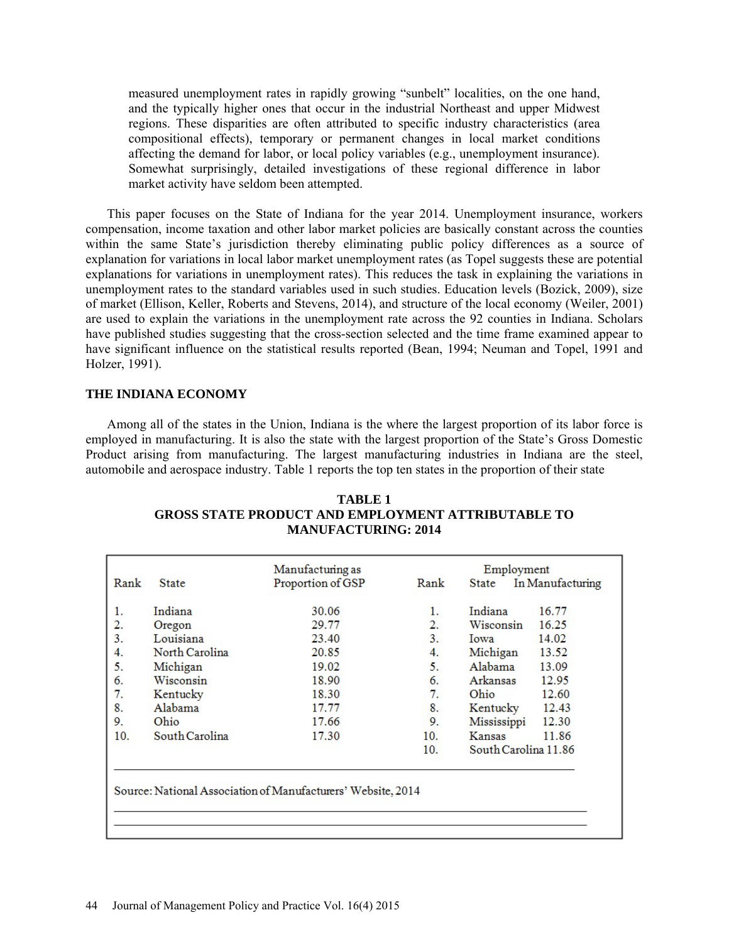measured unemployment rates in rapidly growing "sunbelt" localities, on the one hand, and the typically higher ones that occur in the industrial Northeast and upper Midwest regions. These disparities are often attributed to specific industry characteristics (area compositional effects), temporary or permanent changes in local market conditions affecting the demand for labor, or local policy variables (e.g., unemployment insurance). Somewhat surprisingly, detailed investigations of these regional difference in labor market activity have seldom been attempted.

This paper focuses on the State of Indiana for the year 2014. Unemployment insurance, workers compensation, income taxation and other labor market policies are basically constant across the counties within the same State's jurisdiction thereby eliminating public policy differences as a source of explanation for variations in local labor market unemployment rates (as Topel suggests these are potential explanations for variations in unemployment rates). This reduces the task in explaining the variations in unemployment rates to the standard variables used in such studies. Education levels (Bozick, 2009), size of market (Ellison, Keller, Roberts and Stevens, 2014), and structure of the local economy (Weiler, 2001) are used to explain the variations in the unemployment rate across the 92 counties in Indiana. Scholars have published studies suggesting that the cross-section selected and the time frame examined appear to have significant influence on the statistical results reported (Bean, 1994; Neuman and Topel, 1991 and Holzer, 1991).

## **THE INDIANA ECONOMY**

Among all of the states in the Union, Indiana is the where the largest proportion of its labor force is employed in manufacturing. It is also the state with the largest proportion of the State's Gross Domestic Product arising from manufacturing. The largest manufacturing industries in Indiana are the steel, automobile and aerospace industry. Table 1 reports the top ten states in the proportion of their state

|      |                | Manufacturing as                                             |      | Employment                |  |  |
|------|----------------|--------------------------------------------------------------|------|---------------------------|--|--|
| Rank | <b>State</b>   | Proportion of GSP                                            | Rank | In Manufacturing<br>State |  |  |
| 1.   | Indiana        | 30.06                                                        | 1.   | Indiana<br>16.77          |  |  |
| 2.   | Oregon         | 29.77                                                        | 2.   | 16.25<br>Wisconsin        |  |  |
| 3.   | Louisiana      | 23.40                                                        | 3.   | 14.02<br>Iowa             |  |  |
| 4.   | North Carolina | 20.85                                                        | 4.   | Michigan<br>13.52         |  |  |
| 5.   | Michigan       | 19.02                                                        | 5.   | Alabama<br>13.09          |  |  |
| 6.   | Wisconsin      | 18.90                                                        | 6.   | Arkansas<br>12.95         |  |  |
| 7.   | Kentucky       | 18.30                                                        | 7.   | Ohio<br>12.60             |  |  |
| 8.   | Alabama        | 17.77                                                        | 8.   | 12.43<br>Kentucky         |  |  |
| 9.   | Ohio           | 17.66                                                        | 9.   | Mississippi<br>12.30      |  |  |
| 10.  | South Carolina | 17.30                                                        | 10.  | 11.86<br>Kansas           |  |  |
|      |                |                                                              | 10.  | South Carolina 11.86      |  |  |
|      |                |                                                              |      |                           |  |  |
|      |                |                                                              |      |                           |  |  |
|      |                | Source: National Association of Manufacturers' Website, 2014 |      |                           |  |  |
|      |                |                                                              |      |                           |  |  |

**TABLE 1 GROSS STATE PRODUCT AND EMPLOYMENT ATTRIBUTABLE TO MANUFACTURING: 2014**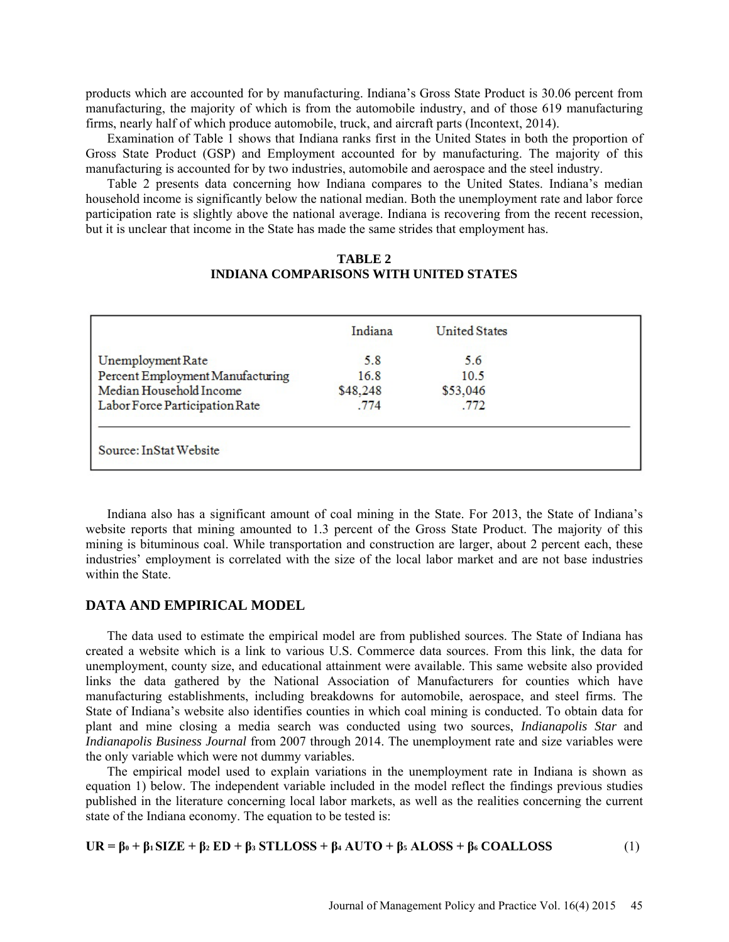products which are accounted for by manufacturing. Indiana's Gross State Product is 30.06 percent from manufacturing, the majority of which is from the automobile industry, and of those 619 manufacturing firms, nearly half of which produce automobile, truck, and aircraft parts (Incontext, 2014).

Examination of Table 1 shows that Indiana ranks first in the United States in both the proportion of Gross State Product (GSP) and Employment accounted for by manufacturing. The majority of this manufacturing is accounted for by two industries, automobile and aerospace and the steel industry.

Table 2 presents data concerning how Indiana compares to the United States. Indiana's median household income is significantly below the national median. Both the unemployment rate and labor force participation rate is slightly above the national average. Indiana is recovering from the recent recession, but it is unclear that income in the State has made the same strides that employment has.

## **TABLE 2 INDIANA COMPARISONS WITH UNITED STATES**

|                                  | Indiana  | <b>United States</b> |  |
|----------------------------------|----------|----------------------|--|
| Unemployment Rate                | 5.8      | 5.6                  |  |
| Percent Employment Manufacturing | 16.8     | 10.5                 |  |
| Median Household Income          | \$48,248 | \$53,046             |  |
| Labor Force Participation Rate   | .774     | .772                 |  |
| Source: InStat Website           |          |                      |  |

Indiana also has a significant amount of coal mining in the State. For 2013, the State of Indiana's website reports that mining amounted to 1.3 percent of the Gross State Product. The majority of this mining is bituminous coal. While transportation and construction are larger, about 2 percent each, these industries' employment is correlated with the size of the local labor market and are not base industries within the State.

#### **DATA AND EMPIRICAL MODEL**

The data used to estimate the empirical model are from published sources. The State of Indiana has created a website which is a link to various U.S. Commerce data sources. From this link, the data for unemployment, county size, and educational attainment were available. This same website also provided links the data gathered by the National Association of Manufacturers for counties which have manufacturing establishments, including breakdowns for automobile, aerospace, and steel firms. The State of Indiana's website also identifies counties in which coal mining is conducted. To obtain data for plant and mine closing a media search was conducted using two sources, *Indianapolis Star* and *Indianapolis Business Journal* from 2007 through 2014. The unemployment rate and size variables were the only variable which were not dummy variables.

The empirical model used to explain variations in the unemployment rate in Indiana is shown as equation 1) below. The independent variable included in the model reflect the findings previous studies published in the literature concerning local labor markets, as well as the realities concerning the current state of the Indiana economy. The equation to be tested is:

 $\mathbf{UR} = \beta_0 + \beta_1 \, \text{SIZE} + \beta_2 \, \text{ED} + \beta_3 \, \text{STLLOSS} + \beta_4 \, \text{AUTO} + \beta_5 \, \text{ALOSS} + \beta_6 \, \text{COALLOSS}$  (1)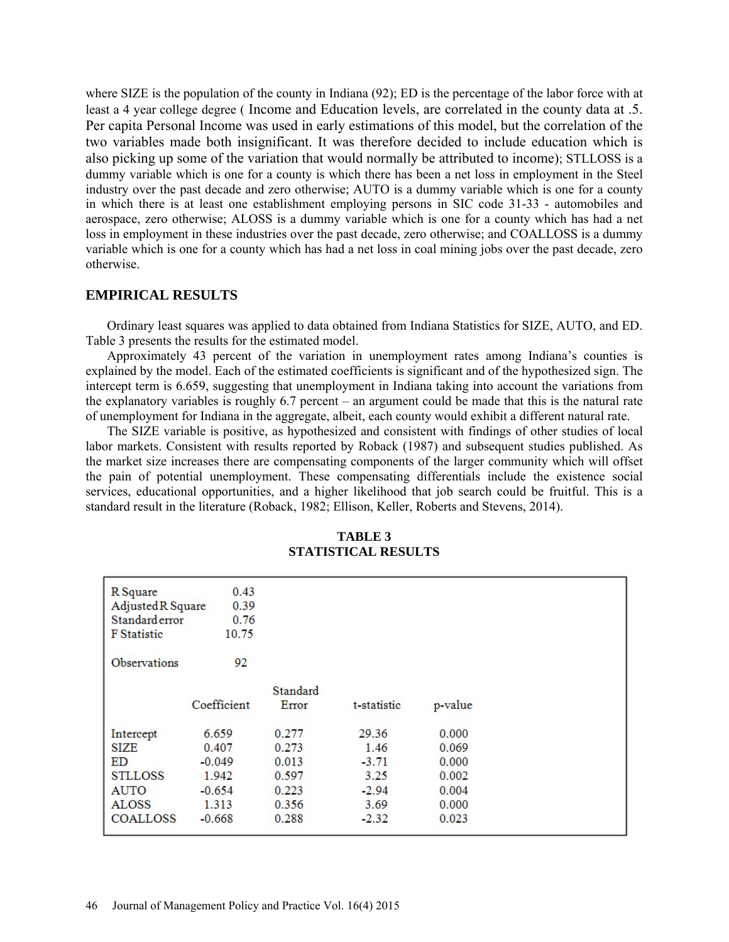where SIZE is the population of the county in Indiana (92); ED is the percentage of the labor force with at least a 4 year college degree ( Income and Education levels, are correlated in the county data at .5. Per capita Personal Income was used in early estimations of this model, but the correlation of the two variables made both insignificant. It was therefore decided to include education which is also picking up some of the variation that would normally be attributed to income); STLLOSS is a dummy variable which is one for a county is which there has been a net loss in employment in the Steel industry over the past decade and zero otherwise; AUTO is a dummy variable which is one for a county in which there is at least one establishment employing persons in SIC code 31-33 - automobiles and aerospace, zero otherwise; ALOSS is a dummy variable which is one for a county which has had a net loss in employment in these industries over the past decade, zero otherwise; and COALLOSS is a dummy variable which is one for a county which has had a net loss in coal mining jobs over the past decade, zero otherwise.

## **EMPIRICAL RESULTS**

Ordinary least squares was applied to data obtained from Indiana Statistics for SIZE, AUTO, and ED. Table 3 presents the results for the estimated model.

Approximately 43 percent of the variation in unemployment rates among Indiana's counties is explained by the model. Each of the estimated coefficients is significant and of the hypothesized sign. The intercept term is 6.659, suggesting that unemployment in Indiana taking into account the variations from the explanatory variables is roughly 6.7 percent – an argument could be made that this is the natural rate of unemployment for Indiana in the aggregate, albeit, each county would exhibit a different natural rate.

The SIZE variable is positive, as hypothesized and consistent with findings of other studies of local labor markets. Consistent with results reported by Roback (1987) and subsequent studies published. As the market size increases there are compensating components of the larger community which will offset the pain of potential unemployment. These compensating differentials include the existence social services, educational opportunities, and a higher likelihood that job search could be fruitful. This is a standard result in the literature (Roback, 1982; Ellison, Keller, Roberts and Stevens, 2014).

| R Square                  | 0.43        |          |             |         |  |
|---------------------------|-------------|----------|-------------|---------|--|
| Adjusted R Square<br>0.39 |             |          |             |         |  |
| Standard error<br>0.76    |             |          |             |         |  |
| <b>F</b> Statistic        | 10.75       |          |             |         |  |
| <b>Observations</b>       | 92          |          |             |         |  |
|                           |             | Standard |             |         |  |
|                           | Coefficient | Error    | t-statistic | p-value |  |
| Intercept                 | 6.659       | 0.277    | 29.36       | 0.000   |  |
| <b>SIZE</b>               | 0.407       | 0.273    | 1.46        | 0.069   |  |
| ED                        | $-0.049$    | 0.013    | $-3.71$     | 0.000   |  |
| <b>STLLOSS</b>            | 1.942       | 0.597    | 3.25        | 0.002   |  |
| <b>AUTO</b>               | $-0.654$    | 0.223    | $-2.94$     | 0.004   |  |
| <b>ALOSS</b>              | 1.313       | 0.356    | 3.69        | 0.000   |  |
| <b>COALLOSS</b>           | $-0.668$    | 0.288    | $-2.32$     | 0.023   |  |

**TABLE 3 STATISTICAL RESULTS**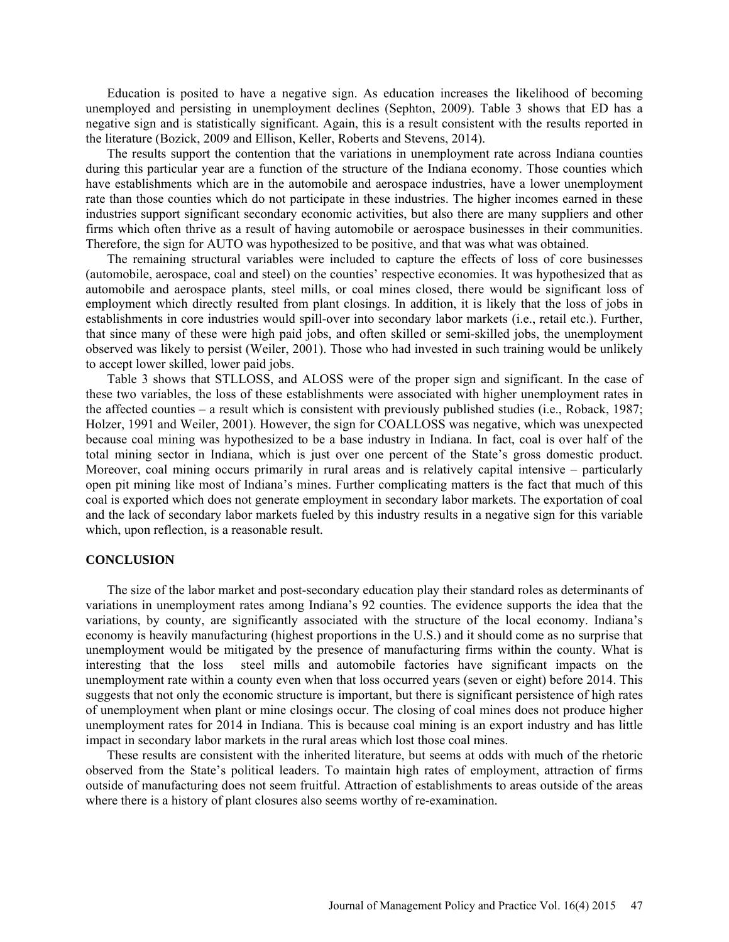Education is posited to have a negative sign. As education increases the likelihood of becoming unemployed and persisting in unemployment declines (Sephton, 2009). Table 3 shows that ED has a negative sign and is statistically significant. Again, this is a result consistent with the results reported in the literature (Bozick, 2009 and Ellison, Keller, Roberts and Stevens, 2014).

The results support the contention that the variations in unemployment rate across Indiana counties during this particular year are a function of the structure of the Indiana economy. Those counties which have establishments which are in the automobile and aerospace industries, have a lower unemployment rate than those counties which do not participate in these industries. The higher incomes earned in these industries support significant secondary economic activities, but also there are many suppliers and other firms which often thrive as a result of having automobile or aerospace businesses in their communities. Therefore, the sign for AUTO was hypothesized to be positive, and that was what was obtained.

The remaining structural variables were included to capture the effects of loss of core businesses (automobile, aerospace, coal and steel) on the counties' respective economies. It was hypothesized that as automobile and aerospace plants, steel mills, or coal mines closed, there would be significant loss of employment which directly resulted from plant closings. In addition, it is likely that the loss of jobs in establishments in core industries would spill-over into secondary labor markets (i.e., retail etc.). Further, that since many of these were high paid jobs, and often skilled or semi-skilled jobs, the unemployment observed was likely to persist (Weiler, 2001). Those who had invested in such training would be unlikely to accept lower skilled, lower paid jobs.

Table 3 shows that STLLOSS, and ALOSS were of the proper sign and significant. In the case of these two variables, the loss of these establishments were associated with higher unemployment rates in the affected counties – a result which is consistent with previously published studies (i.e., Roback, 1987; Holzer, 1991 and Weiler, 2001). However, the sign for COALLOSS was negative, which was unexpected because coal mining was hypothesized to be a base industry in Indiana. In fact, coal is over half of the total mining sector in Indiana, which is just over one percent of the State's gross domestic product. Moreover, coal mining occurs primarily in rural areas and is relatively capital intensive – particularly open pit mining like most of Indiana's mines. Further complicating matters is the fact that much of this coal is exported which does not generate employment in secondary labor markets. The exportation of coal and the lack of secondary labor markets fueled by this industry results in a negative sign for this variable which, upon reflection, is a reasonable result.

#### **CONCLUSION**

The size of the labor market and post-secondary education play their standard roles as determinants of variations in unemployment rates among Indiana's 92 counties. The evidence supports the idea that the variations, by county, are significantly associated with the structure of the local economy. Indiana's economy is heavily manufacturing (highest proportions in the U.S.) and it should come as no surprise that unemployment would be mitigated by the presence of manufacturing firms within the county. What is interesting that the loss steel mills and automobile factories have significant impacts on the unemployment rate within a county even when that loss occurred years (seven or eight) before 2014. This suggests that not only the economic structure is important, but there is significant persistence of high rates of unemployment when plant or mine closings occur. The closing of coal mines does not produce higher unemployment rates for 2014 in Indiana. This is because coal mining is an export industry and has little impact in secondary labor markets in the rural areas which lost those coal mines.

These results are consistent with the inherited literature, but seems at odds with much of the rhetoric observed from the State's political leaders. To maintain high rates of employment, attraction of firms outside of manufacturing does not seem fruitful. Attraction of establishments to areas outside of the areas where there is a history of plant closures also seems worthy of re-examination.